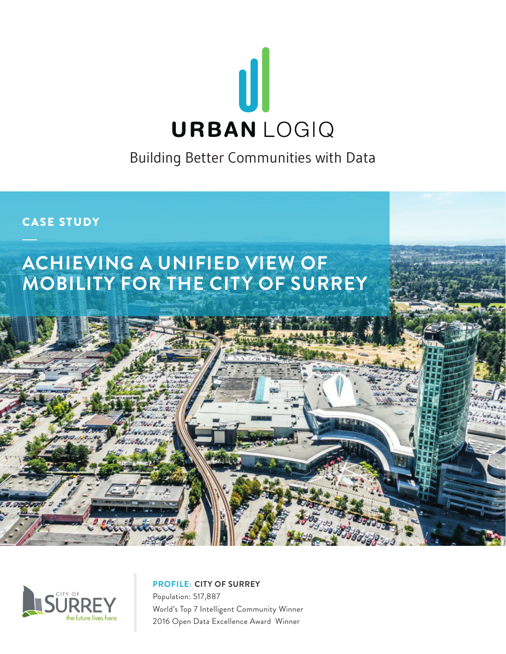

Building Better Communities with Data

# CASE STUDY

# **ACHIEVING A UNIFIED VIEW OF MOBILITY FOR THE CITY OF SURREY**



**PROFILE: CITY OF SURREY**

Population: 517,887 World's Top 7 Intelligent Community Winner 2016 Open Data Excellence Award Winner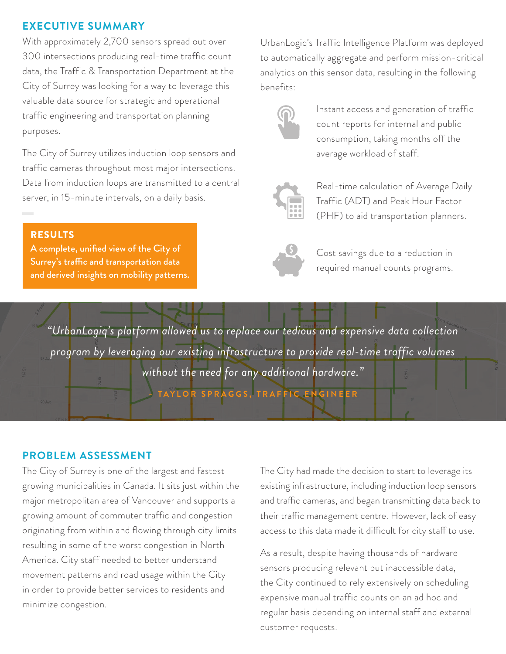#### **EXECUTIVE SUMMARY**

With approximately 2,700 sensors spread out over 300 intersections producing real-time traffic count data, the Traffic & Transportation Department at the City of Surrey was looking for a way to leverage this valuable data source for strategic and operational traffic engineering and transportation planning purposes.

The City of Surrey utilizes induction loop sensors and traffic cameras throughout most major intersections. Data from induction loops are transmitted to a central server, in 15-minute intervals, on a daily basis.

#### RESULTS

A complete, unified view of the City of Surrey's traffic and transportation data and derived insights on mobility patterns. UrbanLogiq's Traffic Intelligence Platform was deployed to automatically aggregate and perform mission-critical analytics on this sensor data, resulting in the following benefits:



Instant access and generation of traffic count reports for internal and public consumption, taking months off the average workload of staff.



Real-time calculation of Average Daily Traffic (ADT) and Peak Hour Factor (PHF) to aid transportation planners.



Cost savings due to a reduction in required manual counts programs.

*"UrbanLogiq's platform allowed us to replace our tedious and expensive data collection program by leveraging our existing infrastructure to provide real-time traffic volumes without the need for any additional hardware."*

**– TAYLOR SPRAGGS, TRAFFIC ENGINEER**

## **PROBLEM ASSESSMENT**

The City of Surrey is one of the largest and fastest growing municipalities in Canada. It sits just within the major metropolitan area of Vancouver and supports a growing amount of commuter traffic and congestion originating from within and flowing through city limits resulting in some of the worst congestion in North America. City staff needed to better understand movement patterns and road usage within the City in order to provide better services to residents and minimize congestion.

The City had made the decision to start to leverage its existing infrastructure, including induction loop sensors and traffic cameras, and began transmitting data back to their traffic management centre. However, lack of easy access to this data made it difficult for city staff to use.

As a result, despite having thousands of hardware sensors producing relevant but inaccessible data, the City continued to rely extensively on scheduling expensive manual traffic counts on an ad hoc and regular basis depending on internal staff and external customer requests.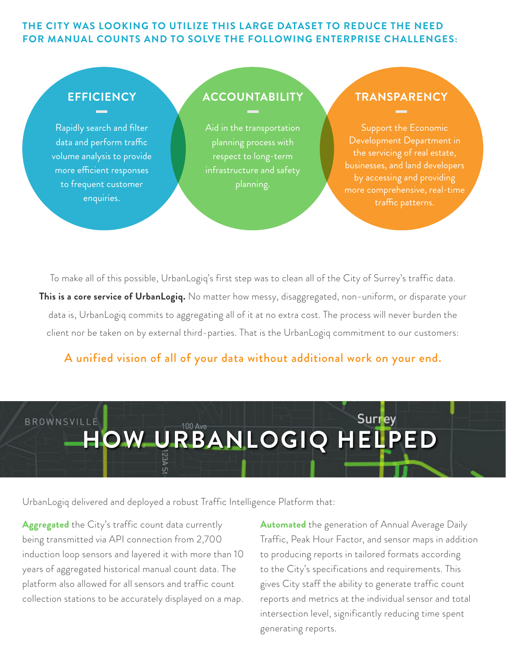### **THE CITY WAS LOOKING TO UTILIZE THIS LARGE DATASET TO REDUCE THE NEED FOR MANUAL COUNTS AND TO SOLVE THE FOLLOWING ENTERPRISE CHALLENGES:**

## **EFFICIENCY**

Rapidly search and filter data and perform traffic volume analysis to provide more efficient responses to frequent customer enquiries.

## **ACCOUNTABILITY**

Aid in the transportation planning process with respect to long-term infrastructure and safety planning.

## **TRANSPARENCY**

Support the Economic Development Department in the servicing of real estate, businesses, and land developers by accessing and providing traffic patterns.

To make all of this possible, UrbanLogiq's first step was to clean all of the City of Surrey's traffic data. **This is a core service of UrbanLogiq.** No matter how messy, disaggregated, non-uniform, or disparate your data is, UrbanLogiq commits to aggregating all of it at no extra cost. The process will never burden the client nor be taken on by external third-parties. That is the UrbanLogiq commitment to our customers:

## A unified vision of all of your data without additional work on your end.



UrbanLogiq delivered and deployed a robust Traffic Intelligence Platform that:

**Aggregated** the City's traffic count data currently being transmitted via API connection from 2,700 induction loop sensors and layered it with more than 10 years of aggregated historical manual count data. The platform also allowed for all sensors and traffic count collection stations to be accurately displayed on a map. **Automated** the generation of Annual Average Daily Traffic, Peak Hour Factor, and sensor maps in addition to producing reports in tailored formats according to the City's specifications and requirements. This gives City staff the ability to generate traffic count reports and metrics at the individual sensor and total intersection level, significantly reducing time spent generating reports.